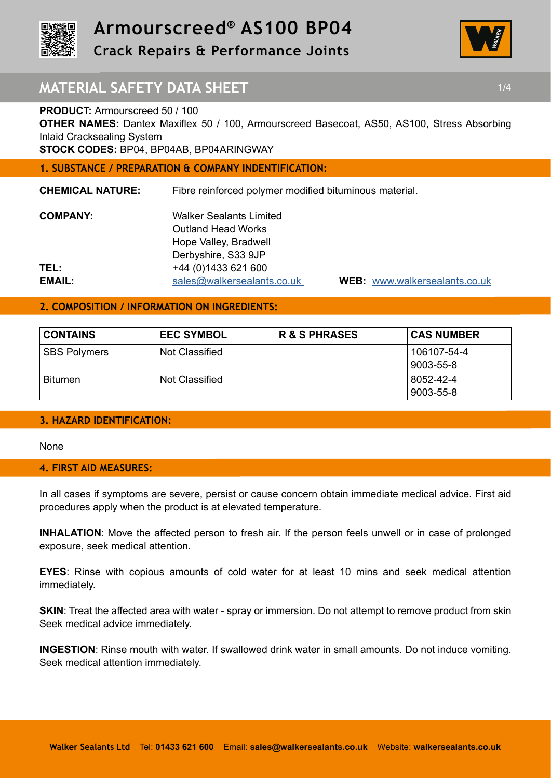

**Crack Repairs & Performance Joints** 



# **MATERIAL SAFETY DATA SHEET 1/4 1/4**

## **PRODUCT:** Armourscreed 50 / 100

**OTHER NAMES:** Dantex Maxiflex 50 / 100, Armourscreed Basecoat, AS50, AS100, Stress Absorbing Inlaid Cracksealing System

**STOCK CODES:** BP04, BP04AB, BP04ARINGWAY

## **1. SUBSTANCE / PREPARATION & COMPANY INDENTIFICATION:**

**CHEMICAL NATURE:** Fibre reinforced polymer modified bituminous material.

| <b>COMPANY:</b> | <b>Walker Sealants Limited</b> |
|-----------------|--------------------------------|
|                 | <b>Outland Head Works</b>      |
|                 | Hope Valley, Bradwell          |
|                 | Derbyshire, S33 9JP            |
| TEL:            | +44 (0) 1433 621 600           |
| EMAIL:          | sales@walkersealants.co.uk     |

**EMAIL:** sales@walkersealants.co.uk **WEB:** www.walkersealants.co.uk

## **2. COMPOSITION / INFORMATION ON INGREDIENTS:**

| <b>CONTAINS</b>     | <b>EEC SYMBOL</b> | <b>R &amp; S PHRASES</b> | <b>CAS NUMBER</b>        |
|---------------------|-------------------|--------------------------|--------------------------|
| <b>SBS Polymers</b> | Not Classified    |                          | 106107-54-4<br>9003-55-8 |
| <b>Bitumen</b>      | Not Classified    |                          | 8052-42-4<br>9003-55-8   |

## **3. HAZARD IDENTIFICATION:**

None

## **4. FIRST AID MEASURES:**

In all cases if symptoms are severe, persist or cause concern obtain immediate medical advice. First aid procedures apply when the product is at elevated temperature.

**INHALATION**: Move the affected person to fresh air. If the person feels unwell or in case of prolonged exposure, seek medical attention.

**EYES**: Rinse with copious amounts of cold water for at least 10 mins and seek medical attention immediately.

**SKIN:** Treat the affected area with water - spray or immersion. Do not attempt to remove product from skin Seek medical advice immediately.

**INGESTION**: Rinse mouth with water. If swallowed drink water in small amounts. Do not induce vomiting. Seek medical attention immediately.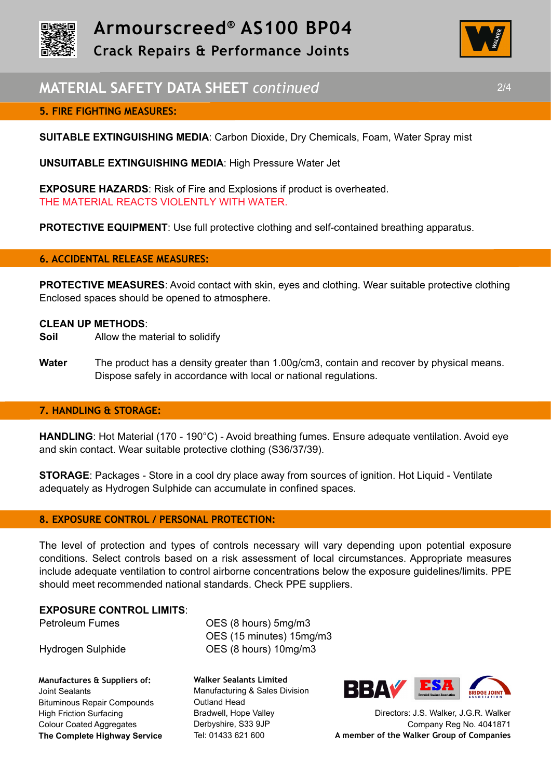



# **MATERIAL SAFETY DATA SHEET** *continued* 2/4

## **5. FIRE FIGHTING MEASURES:**

**SUITABLE EXTINGUISHING MEDIA**: Carbon Dioxide, Dry Chemicals, Foam, Water Spray mist

**UNSUITABLE EXTINGUISHING MEDIA**: High Pressure Water Jet

**EXPOSURE HAZARDS**: Risk of Fire and Explosions if product is overheated. THE MATERIAL REACTS VIOLENTLY WITH WATER.

**PROTECTIVE EQUIPMENT:** Use full protective clothing and self-contained breathing apparatus.

### **6. ACCIDENTAL RELEASE MEASURES:**

**PROTECTIVE MEASURES**: Avoid contact with skin, eyes and clothing. Wear suitable protective clothing Enclosed spaces should be opened to atmosphere.

#### **CLEAN UP METHODS**:

- **Soil** Allow the material to solidify
- **Water** The product has a density greater than 1.00g/cm3, contain and recover by physical means. Dispose safely in accordance with local or national regulations.

### **7. HANDLING & STORAGE:**

**HANDLING**: Hot Material (170 - 190°C) - Avoid breathing fumes. Ensure adequate ventilation. Avoid eye and skin contact. Wear suitable protective clothing (S36/37/39).

**STORAGE**: Packages - Store in a cool dry place away from sources of ignition. Hot Liquid - Ventilate adequately as Hydrogen Sulphide can accumulate in confined spaces.

## **8. EXPOSURE CONTROL / PERSONAL PROTECTION:**

The level of protection and types of controls necessary will vary depending upon potential exposure conditions. Select controls based on a risk assessment of local circumstances. Appropriate measures include adequate ventilation to control airborne concentrations below the exposure guidelines/limits. PPE should meet recommended national standards. Check PPE suppliers.

#### **EXPOSURE CONTROL LIMITS**:

**Manufactures & Suppliers of:**  Joint Sealants Bituminous Repair Compounds High Friction Surfacing Colour Coated Aggregates **The Complete Highway Service**

Petroleum Fumes **OES** (8 hours) 5mg/m3 OES (15 minutes) 15mg/m3 Hydrogen Sulphide OES (8 hours) 10mg/m3

> **Walker Sealants Limited**  Manufacturing & Sales Division Outland Head Bradwell, Hope Valley Derbyshire, S33 9JP Tel: 01433 621 600



Directors: J.S. Walker, J.G.R. Walker Company Reg No. 4041871 **A member of the Walker Group of Companies**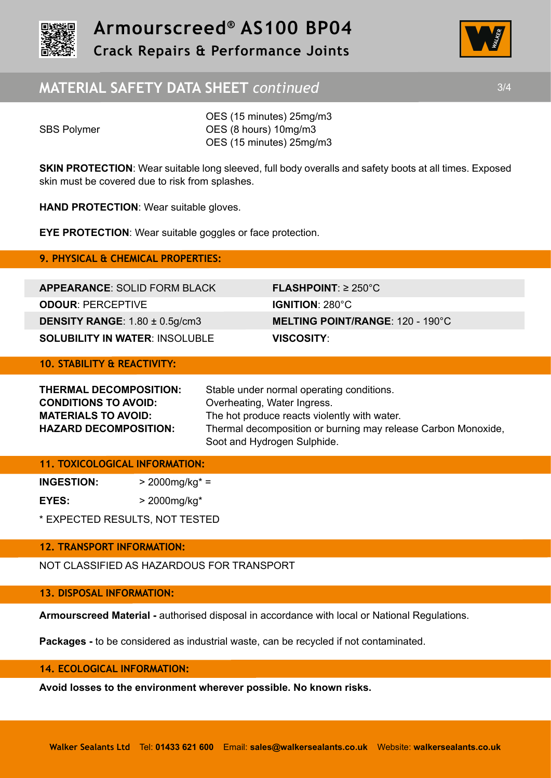



# **MATERIAL SAFETY DATA SHEET** *continued* 3/4

OES (15 minutes) 25mg/m3 SBS Polymer **OES** (8 hours) 10mg/m3 OES (15 minutes) 25mg/m3

**SKIN PROTECTION:** Wear suitable long sleeved, full body overalls and safety boots at all times. Exposed skin must be covered due to risk from splashes.

**HAND PROTECTION**: Wear suitable gloves.

**EYE PROTECTION**: Wear suitable goggles or face protection.

**9. PHYSICAL & CHEMICAL PROPERTIES:** 

**APPEARANCE**: SOLID FORM BLACK **FLASHPOINT**: ≥ 250°C **ODOUR**: PERCEPTIVE **IGNITION**: 280°C **DENSITY RANGE**: 1.80 ± 0.5g/cm3 **MELTING POINT/RANGE**: 120 - 190°C **SOLUBILITY IN WATER**: INSOLUBLE **VISCOSITY**:

## **10. STABILITY & REACTIVITY:**

| THERMAL DECOMPOSITION:       | Stable under normal operating conditions.                     |  |
|------------------------------|---------------------------------------------------------------|--|
| <b>CONDITIONS TO AVOID:</b>  | Overheating, Water Ingress.                                   |  |
| <b>MATERIALS TO AVOID:</b>   | The hot produce reacts violently with water.                  |  |
| <b>HAZARD DECOMPOSITION:</b> | Thermal decomposition or burning may release Carbon Monoxide, |  |
|                              | Soot and Hydrogen Sulphide.                                   |  |

## **11. TOXICOLOGICAL INFORMATION:**

| <b>INGESTION:</b> | $>$ 2000mg/kg* =  |
|-------------------|-------------------|
| EYES:             | $>$ 2000mg/kg $*$ |

\* EXPECTED RESULTS, NOT TESTED

## **12. TRANSPORT INFORMATION:**

NOT CLASSIFIED AS HAZARDOUS FOR TRANSPORT

## **13. DISPOSAL INFORMATION:**

**Armourscreed Material -** authorised disposal in accordance with local or National Regulations.

**Packages -** to be considered as industrial waste, can be recycled if not contaminated.

### **14. ECOLOGICAL INFORMATION:**

**Avoid losses to the environment wherever possible. No known risks.**